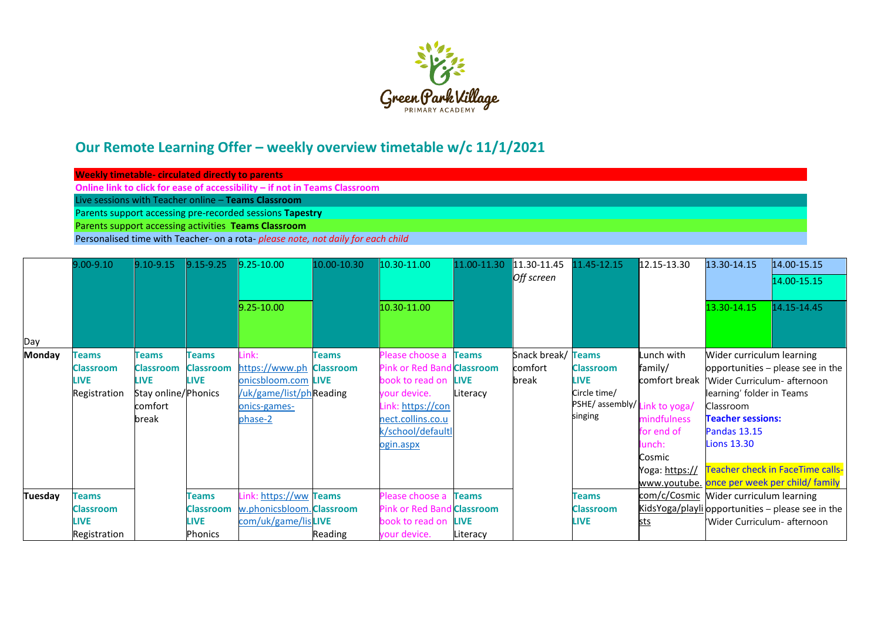

## **Our Remote Learning Offer – weekly overview timetable w/c 11/1/2021**

| Weekly timetable- circulated directly to parents                           |  |  |  |  |  |  |  |  |
|----------------------------------------------------------------------------|--|--|--|--|--|--|--|--|
| Online link to click for ease of accessibility – if not in Teams Classroom |  |  |  |  |  |  |  |  |
| Live sessions with Teacher online – Teams Classroom                        |  |  |  |  |  |  |  |  |
| Parents support accessing pre-recorded sessions Tapestry                   |  |  |  |  |  |  |  |  |
| Parents support accessing activities Teams Classroom                       |  |  |  |  |  |  |  |  |
|                                                                            |  |  |  |  |  |  |  |  |

Personalised time with Teacher- on a rota- *please note, not daily for each child*

|               | $9.00 - 9.10$    | 9.10-9.15           | $9.15 - 9.25$    | $9.25 - 10.00$            | 10.00-10.30      | 10.30-11.00                       | 11.00-11.30  | 11.30-11.45        | 11.45-12.15                 | 12.15-13.30                            | 13.30-14.15                  | 14.00-15.15                                       |
|---------------|------------------|---------------------|------------------|---------------------------|------------------|-----------------------------------|--------------|--------------------|-----------------------------|----------------------------------------|------------------------------|---------------------------------------------------|
|               |                  |                     |                  |                           |                  |                                   |              | Off screen         |                             |                                        |                              | 14.00-15.15                                       |
|               |                  |                     |                  | $9.25 - 10.00$            |                  | 10.30-11.00                       |              |                    |                             |                                        | 13.30-14.15                  | 14.15-14.45                                       |
| Day           |                  |                     |                  |                           |                  |                                   |              |                    |                             |                                        |                              |                                                   |
| <b>Monday</b> | <b>Teams</b>     | Teams               | <b>Teams</b>     | Link:                     | <b>Teams</b>     | Please choose a                   | <b>Teams</b> | Snack break/ Teams |                             | Lunch with                             | Wider curriculum learning    |                                                   |
|               | Classroom        | <b>Classroom</b>    | <b>Classroom</b> | https://www.ph            | <b>Classroom</b> | <b>Pink or Red Band Classroom</b> |              | comfort            | <b>Classroom</b>            | family/                                |                              | opportunities – please see in the                 |
|               | <b>LIVE</b>      | <b>LIVE</b>         | <b>LIVE</b>      | onicsbloom.com LIVE       |                  | book to read on                   | <b>LIVE</b>  | break              | <b>LIVE</b>                 | comfort break                          | Wider Curriculum- afternoon  |                                                   |
|               | Registration     | Stay online/Phonics |                  | /uk/game/list/phReading   |                  | vour device.                      | Literacy     |                    | Circle time/                |                                        | learning' folder in Teams    |                                                   |
|               |                  | comfort             |                  | onics-games-              |                  | Link: https://con                 |              |                    | PSHE/assembly/Link to yoga/ |                                        | Classroom                    |                                                   |
|               |                  | break               |                  | phase-2                   |                  | nect.collins.co.u                 |              |                    | singing                     | mindfulness                            | <b>Teacher sessions:</b>     |                                                   |
|               |                  |                     |                  |                           |                  | k/school/defaultl                 |              |                    |                             | for end of                             | <b>Pandas 13.15</b>          |                                                   |
|               |                  |                     |                  |                           |                  | ogin.aspx                         |              |                    |                             | lunch:                                 | <b>Lions 13.30</b>           |                                                   |
|               |                  |                     |                  |                           |                  |                                   |              |                    |                             | Cosmic                                 |                              |                                                   |
|               |                  |                     |                  |                           |                  |                                   |              |                    |                             | Yoga: https://                         |                              | <b>Teacher check in FaceTime calls-</b>           |
|               |                  |                     |                  |                           |                  |                                   |              |                    |                             |                                        |                              | www.youtube. once per week per child/ family      |
| Tuesday       | <b>Teams</b>     |                     | <b>Teams</b>     | Link: https://ww Teams    |                  | Please choose a                   | <b>Teams</b> |                    | <b>Teams</b>                | com/c/Cosmic Wider curriculum learning |                              |                                                   |
|               | <b>Classroom</b> |                     | <b>Classroom</b> | w.phonicsbloom. Classroom |                  | <b>Pink or Red Band Classroom</b> |              |                    | <b>Classroom</b>            |                                        |                              | KidsYoga/playli opportunities - please see in the |
|               | <b>LIVE</b>      |                     | <b>LIVE</b>      | com/uk/game/lisLIVE       |                  | book to read on LIVE              |              |                    | <b>LIVE</b>                 | <u>sts</u>                             | 'Wider Curriculum- afternoon |                                                   |
|               | Registration     |                     | <b>Phonics</b>   |                           | Reading          | your device.                      | Literacy     |                    |                             |                                        |                              |                                                   |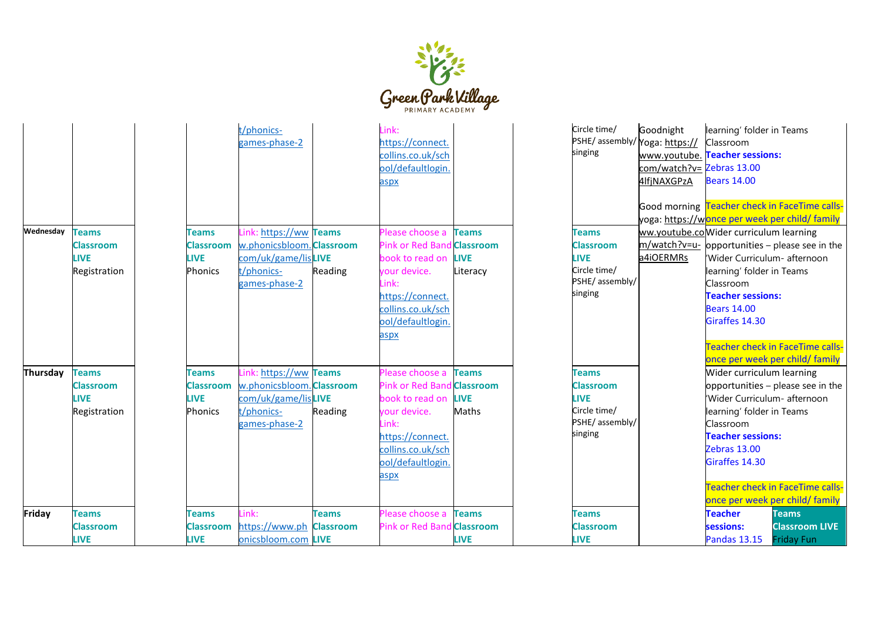

| Wednesday | <b>Teams</b><br><b>Classroom</b><br><b>LIVE</b><br>Registration | Teams<br><b>Classroom</b><br><b>LIVE</b><br><b>Phonics</b> | t/phonics-<br>games-phase-2<br>Link: https://ww Teams<br>w.phonicsbloom. Classroom<br>com/uk/game/lisLIVE<br>t/phonics-<br>games-phase-2 | Reading                          | .ink:<br>https://connect.<br>collins.co.uk/sch<br>pol/defaultlogin.<br>aspx<br>Please choose a<br>Pink or Red Band Classroom<br>book to read on<br>our device.<br>ink:<br>https://connect.<br>collins.co.uk/sch<br>ool/defaultlogin.<br>aspx | <b>Teams</b><br><b>LIVE</b><br>Literacy                  | Circle time/<br>PSHE/ assembly/ Yoga: https://<br>singing<br><b>Teams</b><br><b>Classroom</b><br><b>LIVE</b><br>Circle time/<br>PSHE/ assembly/<br>singing | Goodnight<br>com/watch?v= Zebras 13.00<br>4lfjNAXGPzA<br>a4iOERMRs | learning' folder in Teams<br><b>Classroom</b><br>www.youtube. Teacher sessions:<br><b>Bears 14.00</b><br>Good morning Teacher check in FaceTime calls-<br>yoga: https://w <mark>once per week per child/ family</mark><br>ww.youtube.co Wider curriculum learning<br>m/watch?v=u- opportunities - please see in the<br>Wider Curriculum- afternoon<br>learning' folder in Teams<br>Classroom<br><b>Teacher sessions:</b><br><b>Bears 14.00</b><br>Giraffes 14.30 | <b>Teacher check in FaceTime calls-</b>                    |
|-----------|-----------------------------------------------------------------|------------------------------------------------------------|------------------------------------------------------------------------------------------------------------------------------------------|----------------------------------|----------------------------------------------------------------------------------------------------------------------------------------------------------------------------------------------------------------------------------------------|----------------------------------------------------------|------------------------------------------------------------------------------------------------------------------------------------------------------------|--------------------------------------------------------------------|------------------------------------------------------------------------------------------------------------------------------------------------------------------------------------------------------------------------------------------------------------------------------------------------------------------------------------------------------------------------------------------------------------------------------------------------------------------|------------------------------------------------------------|
| Thursday  | <b>Teams</b><br><b>Classroom</b><br><b>LIVE</b><br>Registration | <b>Teams</b><br>Classroom<br><b>LIVE</b><br><b>Phonics</b> | https://ww Teams<br>w.phonicsbloom. Classroom<br>com/uk/game/lisLIVE<br>t/phonics-<br>games-phase-2                                      | Reading                          | lease choose a<br>Pink or Red Band<br>book to read on<br>your device.<br>ink:<br>nttps://connect.<br>collins.co.uk/sch<br>pol/defaultlogin.<br>aspx                                                                                          | <b>Teams</b><br><b>Classroom</b><br><b>LIVE</b><br>Maths | Teams<br><b>Classroom</b><br><b>LIVE</b><br>Circle time/<br>PSHE/ assembly/<br>singing                                                                     |                                                                    | once per week per child/ family<br>Wider curriculum learning<br>opportunities - please see in the<br>Wider Curriculum- afternoon<br>learning' folder in Teams<br>Classroom<br><b>Teacher sessions:</b><br><b>Zebras 13.00</b><br>Giraffes 14.30<br>once per week per child/ family                                                                                                                                                                               | <b>Teacher check in FaceTime calls-</b>                    |
| Friday    | <b>Teams</b><br>Classroom<br><b>LIVE</b>                        | <b>Teams</b><br>Classroom<br><b>LIVE</b>                   | l ink:<br>https://www.ph<br>onicsbloom.com LIVE                                                                                          | <b>Teams</b><br><b>Classroom</b> | Please choose a<br>Pink or Red Band                                                                                                                                                                                                          | <b>Teams</b><br><b>Classroom</b><br><b>LIVE</b>          | <b>Teams</b><br>Classroom<br><b>LIVE</b>                                                                                                                   |                                                                    | <b>Teacher</b><br>sessions:<br><b>Pandas 13.15</b>                                                                                                                                                                                                                                                                                                                                                                                                               | <b>Teams</b><br><b>Classroom LIVE</b><br><b>Friday Fun</b> |